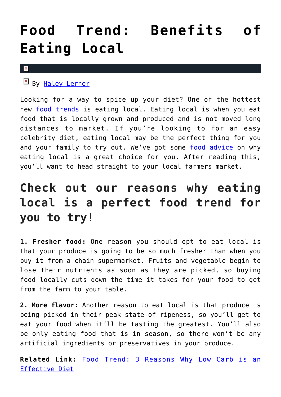## **[Food Trend: Benefits of](https://cupidspulse.com/126009/food-trend-benefits-eating-local/) [Eating Local](https://cupidspulse.com/126009/food-trend-benefits-eating-local/)**

## $\vert \mathbf{x} \vert$

By [Haley Lerner](http://cupidspulse.com/126165/haley-lerner/)

Looking for a way to spice up your diet? One of the hottest new [food trends](http://cupidspulse.com/food/) is eating local. Eating local is when you eat food that is locally grown and produced and is not moved long distances to market. If you're looking to for an easy celebrity diet, eating local may be the perfect thing for you and your family to try out. We've got some [food advice](http://cupidspulse.com/food/) on why eating local is a great choice for you. After reading this, you'll want to head straight to your local farmers market.

## **Check out our reasons why eating local is a perfect food trend for you to try!**

**1. Fresher food:** One reason you should opt to eat local is that your produce is going to be so much fresher than when you buy it from a chain supermarket. Fruits and vegetable begin to lose their nutrients as soon as they are picked, so buying food locally cuts down the time it takes for your food to get from the farm to your table.

**2. More flavor:** Another reason to eat local is that produce is being picked in their peak state of ripeness, so you'll get to eat your food when it'll be tasting the greatest. You'll also be only eating food that is in season, so there won't be any artificial ingredients or preservatives in your produce.

**Related Link:** [Food Trend: 3 Reasons Why Low Carb is an](http://cupidspulse.com/124921/food-trend-reasons-low-carb-effective-diet/) [Effective Diet](http://cupidspulse.com/124921/food-trend-reasons-low-carb-effective-diet/)